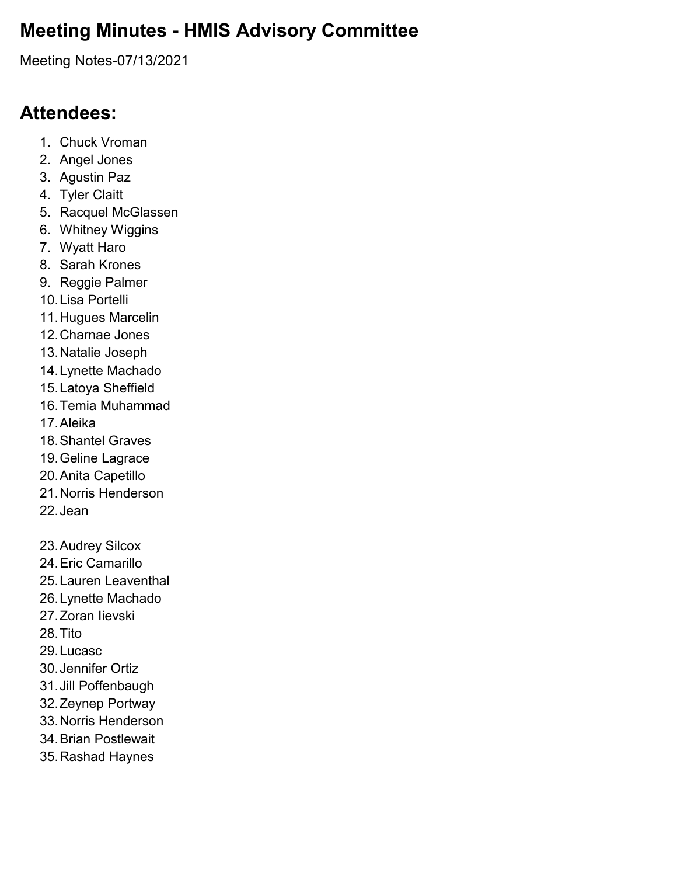# **Meeting Minutes - HMIS Advisory Committee**

Meeting Notes-07/13/2021

# **Attendees:**

- 1. Chuck Vroman
- 2. Angel Jones
- 3. Agustin Paz
- 4. Tyler Claitt
- 5. Racquel McGlassen
- 6. Whitney Wiggins
- 7. Wyatt Haro
- 8. Sarah Krones
- 9. Reggie Palmer
- 10.Lisa Portelli
- 11.Hugues Marcelin
- 12.Charnae Jones
- 13.Natalie Joseph
- 14.Lynette Machado
- 15.Latoya Sheffield
- 16.Temia Muhammad
- 17.Aleika
- 18.Shantel Graves
- 19.Geline Lagrace
- 20.Anita Capetillo
- 21.Norris Henderson
- 22.Jean
- 23.Audrey Silcox 24.Eric Camarillo 25.Lauren Leaventhal 26.Lynette Machado 27.Zoran Iievski 28.Tito 29.Lucasc 30.Jennifer Ortiz 31.Jill Poffenbaugh 32.Zeynep Portway 33.Norris Henderson 34.Brian Postlewait 35.Rashad Haynes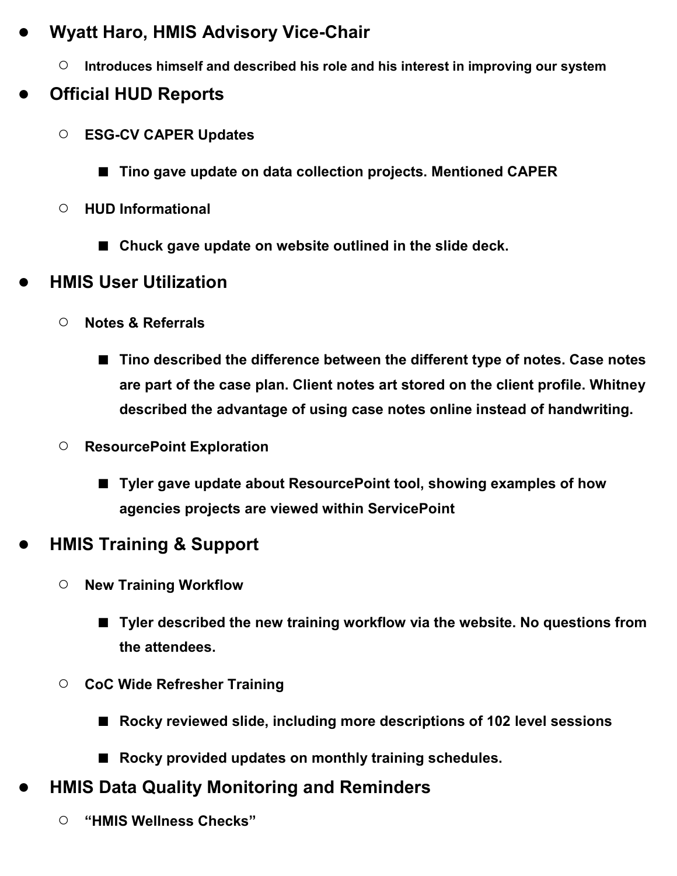### ● **Wyatt Haro, HMIS Advisory Vice-Chair**

○ **Introduces himself and described his role and his interest in improving our system**

### ● **Official HUD Reports**

- **ESG-CV CAPER Updates**
	- **Tino gave update on data collection projects. Mentioned CAPER**
- **HUD Informational**
	- Chuck gave update on website outlined in the slide deck.

### ● **HMIS User Utilization**

- **Notes & Referrals**
	- **Tino described the difference between the different type of notes. Case notes are part of the case plan. Client notes art stored on the client profile. Whitney described the advantage of using case notes online instead of handwriting.**
- **ResourcePoint Exploration**
	- **Tyler gave update about ResourcePoint tool, showing examples of how agencies projects are viewed within ServicePoint**

# ● **HMIS Training & Support**

- **New Training Workflow**
	- **Tyler described the new training workflow via the website. No questions from the attendees.**
- **CoC Wide Refresher Training**
	- **Rocky reviewed slide, including more descriptions of 102 level sessions**
	- **Rocky provided updates on monthly training schedules.**
- **HMIS Data Quality Monitoring and Reminders** 
	- **"HMIS Wellness Checks"**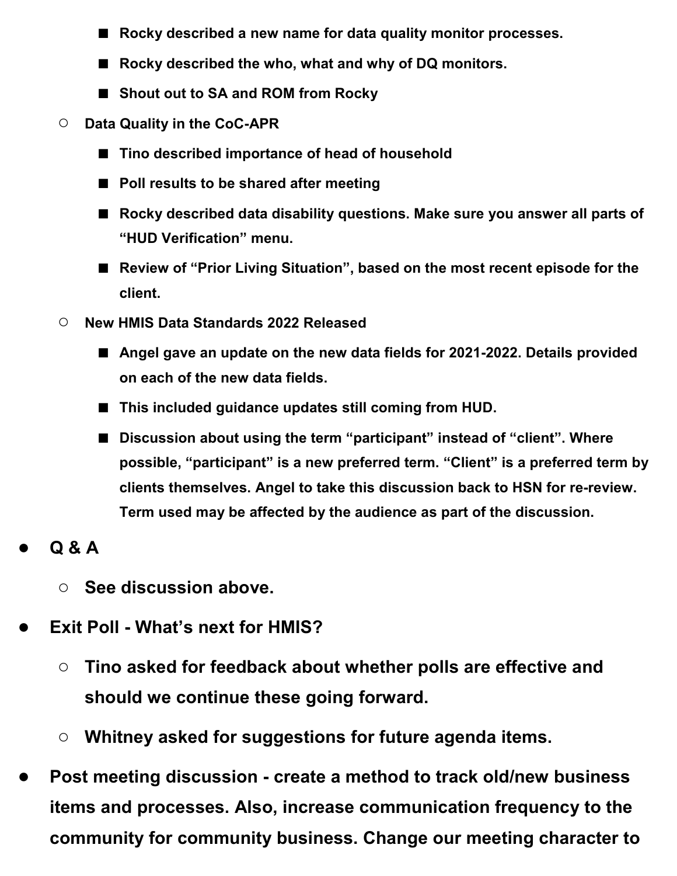- **Rocky described a new name for data quality monitor processes.**
- **Rocky described the who, what and why of DQ monitors.**
- **Shout out to SA and ROM from Rocky**
- **Data Quality in the CoC-APR**
	- **Tino described importance of head of household**
	- **Poll results to be shared after meeting**
	- **Rocky described data disability questions. Make sure you answer all parts of "HUD Verification" menu.**
	- Review of "Prior Living Situation", based on the most recent episode for the **client.**
- **New HMIS Data Standards 2022 Released**
	- Angel gave an update on the new data fields for 2021-2022. Details provided **on each of the new data fields.**
	- This included guidance updates still coming from HUD.
	- **Discussion about using the term "participant" instead of "client". Where possible, "participant" is a new preferred term. "Client" is a preferred term by clients themselves. Angel to take this discussion back to HSN for re-review. Term used may be affected by the audience as part of the discussion.**
- **Q & A**
	- **See discussion above.**
- **Exit Poll - What's next for HMIS?**
	- **Tino asked for feedback about whether polls are effective and should we continue these going forward.**
	- **Whitney asked for suggestions for future agenda items.**
- **Post meeting discussion - create a method to track old/new business items and processes. Also, increase communication frequency to the community for community business. Change our meeting character to**